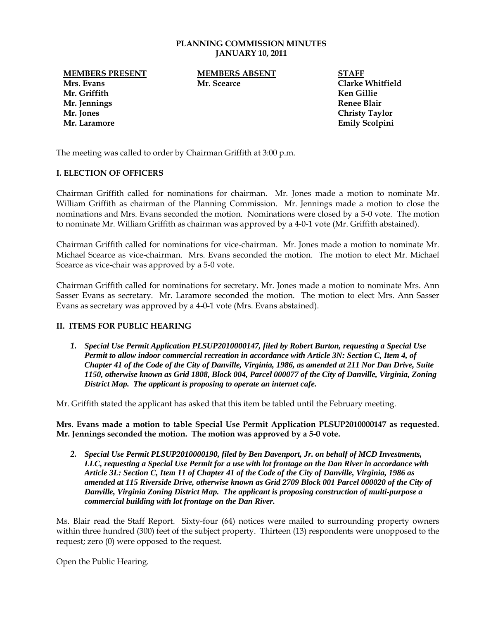#### **PLANNING COMMISSION MINUTES JANUARY 10, 2011**

**Mr. Griffith Ken Gillie Mr. Jennings Renee Blair Mr. Jones Christy Taylor**

**MEMBERS PRESENT MEMBERS ABSENT STAFF Mrs. Evans Mr. Scearce Clarke Whitfield**

**Mr. Laramore Emily Scolpini**

The meeting was called to order by Chairman Griffith at 3:00 p.m.

# **I. ELECTION OF OFFICERS**

Chairman Griffith called for nominations for chairman. Mr. Jones made a motion to nominate Mr. William Griffith as chairman of the Planning Commission. Mr. Jennings made a motion to close the nominations and Mrs. Evans seconded the motion. Nominations were closed by a 5-0 vote. The motion to nominate Mr. William Griffith as chairman was approved by a 4-0-1 vote (Mr. Griffith abstained).

Chairman Griffith called for nominations for vice-chairman. Mr. Jones made a motion to nominate Mr. Michael Scearce as vice-chairman. Mrs. Evans seconded the motion. The motion to elect Mr. Michael Scearce as vice-chair was approved by a 5-0 vote.

Chairman Griffith called for nominations for secretary. Mr. Jones made a motion to nominate Mrs. Ann Sasser Evans as secretary. Mr. Laramore seconded the motion. The motion to elect Mrs. Ann Sasser Evans as secretary was approved by a 4-0-1 vote (Mrs. Evans abstained).

### **II. ITEMS FOR PUBLIC HEARING**

*1. Special Use Permit Application PLSUP2010000147, filed by Robert Burton, requesting a Special Use Permit to allow indoor commercial recreation in accordance with Article 3N: Section C, Item 4, of Chapter 41 of the Code of the City of Danville, Virginia, 1986, as amended at 211 Nor Dan Drive, Suite 1150, otherwise known as Grid 1808, Block 004, Parcel 000077 of the City of Danville, Virginia, Zoning District Map. The applicant is proposing to operate an internet cafe.*

Mr. Griffith stated the applicant has asked that this item be tabled until the February meeting.

**Mrs. Evans made a motion to table Special Use Permit Application PLSUP2010000147 as requested. Mr. Jennings seconded the motion. The motion was approved by a 5-0 vote.** 

*2. Special Use Permit PLSUP2010000190, filed by Ben Davenport, Jr. on behalf of MCD Investments, LLC, requesting a Special Use Permit for a use with lot frontage on the Dan River in accordance with Article 3L: Section C, Item 11 of Chapter 41 of the Code of the City of Danville, Virginia, 1986 as amended at 115 Riverside Drive, otherwise known as Grid 2709 Block 001 Parcel 000020 of the City of Danville, Virginia Zoning District Map. The applicant is proposing construction of multi-purpose a commercial building with lot frontage on the Dan River.* 

Ms. Blair read the Staff Report. Sixty-four (64) notices were mailed to surrounding property owners within three hundred (300) feet of the subject property. Thirteen (13) respondents were unopposed to the request; zero (0) were opposed to the request.

Open the Public Hearing.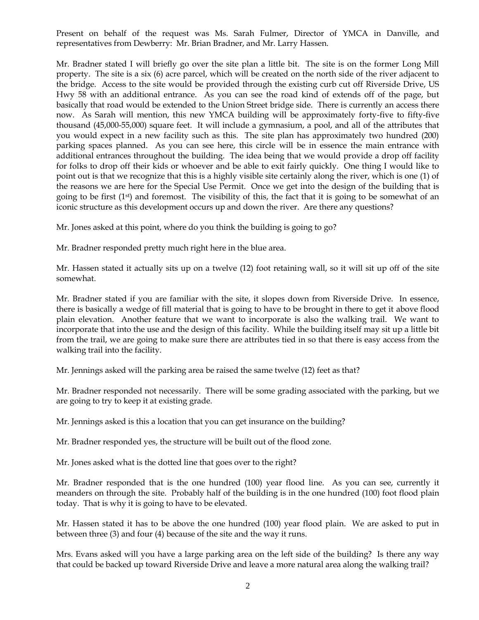Present on behalf of the request was Ms. Sarah Fulmer, Director of YMCA in Danville, and representatives from Dewberry: Mr. Brian Bradner, and Mr. Larry Hassen.

Mr. Bradner stated I will briefly go over the site plan a little bit. The site is on the former Long Mill property. The site is a six (6) acre parcel, which will be created on the north side of the river adjacent to the bridge. Access to the site would be provided through the existing curb cut off Riverside Drive, US Hwy 58 with an additional entrance. As you can see the road kind of extends off of the page, but basically that road would be extended to the Union Street bridge side. There is currently an access there now. As Sarah will mention, this new YMCA building will be approximately forty-five to fifty-five thousand (45,000-55,000) square feet. It will include a gymnasium, a pool, and all of the attributes that you would expect in a new facility such as this. The site plan has approximately two hundred (200) parking spaces planned. As you can see here, this circle will be in essence the main entrance with additional entrances throughout the building. The idea being that we would provide a drop off facility for folks to drop off their kids or whoever and be able to exit fairly quickly. One thing I would like to point out is that we recognize that this is a highly visible site certainly along the river, which is one (1) of the reasons we are here for the Special Use Permit. Once we get into the design of the building that is going to be first  $(1^{st})$  and foremost. The visibility of this, the fact that it is going to be somewhat of an iconic structure as this development occurs up and down the river. Are there any questions?

Mr. Jones asked at this point, where do you think the building is going to go?

Mr. Bradner responded pretty much right here in the blue area.

Mr. Hassen stated it actually sits up on a twelve (12) foot retaining wall, so it will sit up off of the site somewhat.

Mr. Bradner stated if you are familiar with the site, it slopes down from Riverside Drive. In essence, there is basically a wedge of fill material that is going to have to be brought in there to get it above flood plain elevation. Another feature that we want to incorporate is also the walking trail. We want to incorporate that into the use and the design of this facility. While the building itself may sit up a little bit from the trail, we are going to make sure there are attributes tied in so that there is easy access from the walking trail into the facility.

Mr. Jennings asked will the parking area be raised the same twelve (12) feet as that?

Mr. Bradner responded not necessarily. There will be some grading associated with the parking, but we are going to try to keep it at existing grade.

Mr. Jennings asked is this a location that you can get insurance on the building?

Mr. Bradner responded yes, the structure will be built out of the flood zone.

Mr. Jones asked what is the dotted line that goes over to the right?

Mr. Bradner responded that is the one hundred (100) year flood line. As you can see, currently it meanders on through the site. Probably half of the building is in the one hundred (100) foot flood plain today. That is why it is going to have to be elevated.

Mr. Hassen stated it has to be above the one hundred (100) year flood plain. We are asked to put in between three (3) and four (4) because of the site and the way it runs.

Mrs. Evans asked will you have a large parking area on the left side of the building? Is there any way that could be backed up toward Riverside Drive and leave a more natural area along the walking trail?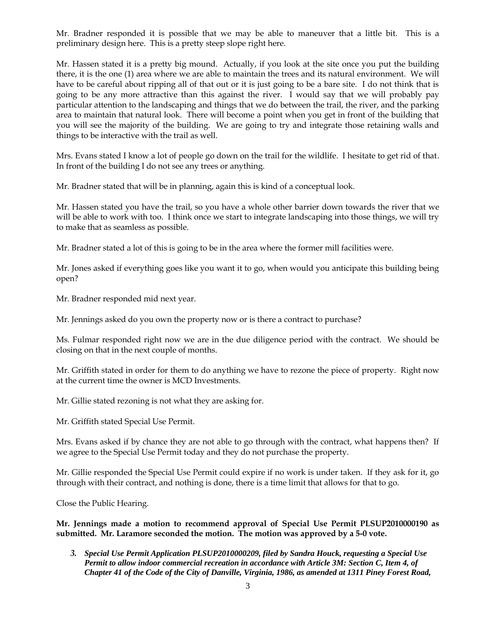Mr. Bradner responded it is possible that we may be able to maneuver that a little bit. This is a preliminary design here. This is a pretty steep slope right here.

Mr. Hassen stated it is a pretty big mound. Actually, if you look at the site once you put the building there, it is the one (1) area where we are able to maintain the trees and its natural environment. We will have to be careful about ripping all of that out or it is just going to be a bare site. I do not think that is going to be any more attractive than this against the river. I would say that we will probably pay particular attention to the landscaping and things that we do between the trail, the river, and the parking area to maintain that natural look. There will become a point when you get in front of the building that you will see the majority of the building. We are going to try and integrate those retaining walls and things to be interactive with the trail as well.

Mrs. Evans stated I know a lot of people go down on the trail for the wildlife. I hesitate to get rid of that. In front of the building I do not see any trees or anything.

Mr. Bradner stated that will be in planning, again this is kind of a conceptual look.

Mr. Hassen stated you have the trail, so you have a whole other barrier down towards the river that we will be able to work with too. I think once we start to integrate landscaping into those things, we will try to make that as seamless as possible.

Mr. Bradner stated a lot of this is going to be in the area where the former mill facilities were.

Mr. Jones asked if everything goes like you want it to go, when would you anticipate this building being open?

Mr. Bradner responded mid next year.

Mr. Jennings asked do you own the property now or is there a contract to purchase?

Ms. Fulmar responded right now we are in the due diligence period with the contract. We should be closing on that in the next couple of months.

Mr. Griffith stated in order for them to do anything we have to rezone the piece of property. Right now at the current time the owner is MCD Investments.

Mr. Gillie stated rezoning is not what they are asking for.

Mr. Griffith stated Special Use Permit.

Mrs. Evans asked if by chance they are not able to go through with the contract, what happens then? If we agree to the Special Use Permit today and they do not purchase the property.

Mr. Gillie responded the Special Use Permit could expire if no work is under taken. If they ask for it, go through with their contract, and nothing is done, there is a time limit that allows for that to go.

Close the Public Hearing.

**Mr. Jennings made a motion to recommend approval of Special Use Permit PLSUP2010000190 as submitted. Mr. Laramore seconded the motion. The motion was approved by a 5-0 vote.** 

*3. Special Use Permit Application PLSUP2010000209, filed by Sandra Houck, requesting a Special Use Permit to allow indoor commercial recreation in accordance with Article 3M: Section C, Item 4, of Chapter 41 of the Code of the City of Danville, Virginia, 1986, as amended at 1311 Piney Forest Road,*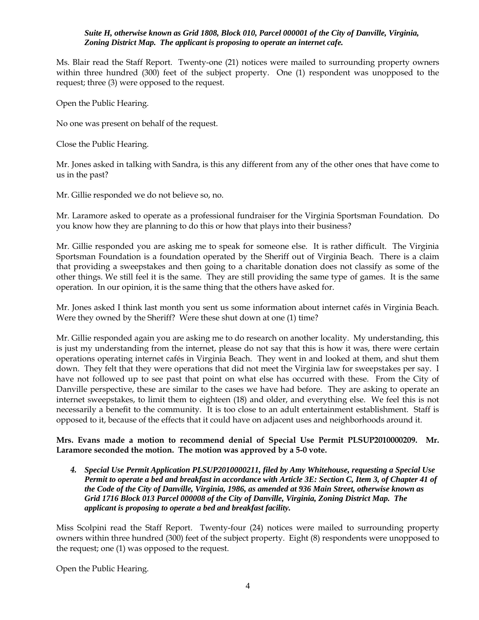### *Suite H, otherwise known as Grid 1808, Block 010, Parcel 000001 of the City of Danville, Virginia, Zoning District Map. The applicant is proposing to operate an internet cafe.*

Ms. Blair read the Staff Report. Twenty-one (21) notices were mailed to surrounding property owners within three hundred (300) feet of the subject property. One (1) respondent was unopposed to the request; three (3) were opposed to the request.

Open the Public Hearing.

No one was present on behalf of the request.

Close the Public Hearing.

Mr. Jones asked in talking with Sandra, is this any different from any of the other ones that have come to us in the past?

Mr. Gillie responded we do not believe so, no.

Mr. Laramore asked to operate as a professional fundraiser for the Virginia Sportsman Foundation. Do you know how they are planning to do this or how that plays into their business?

Mr. Gillie responded you are asking me to speak for someone else. It is rather difficult. The Virginia Sportsman Foundation is a foundation operated by the Sheriff out of Virginia Beach. There is a claim that providing a sweepstakes and then going to a charitable donation does not classify as some of the other things. We still feel it is the same. They are still providing the same type of games. It is the same operation. In our opinion, it is the same thing that the others have asked for.

Mr. Jones asked I think last month you sent us some information about internet cafés in Virginia Beach. Were they owned by the Sheriff? Were these shut down at one (1) time?

Mr. Gillie responded again you are asking me to do research on another locality. My understanding, this is just my understanding from the internet, please do not say that this is how it was, there were certain operations operating internet cafés in Virginia Beach. They went in and looked at them, and shut them down. They felt that they were operations that did not meet the Virginia law for sweepstakes per say. I have not followed up to see past that point on what else has occurred with these. From the City of Danville perspective, these are similar to the cases we have had before. They are asking to operate an internet sweepstakes, to limit them to eighteen (18) and older, and everything else. We feel this is not necessarily a benefit to the community. It is too close to an adult entertainment establishment. Staff is opposed to it, because of the effects that it could have on adjacent uses and neighborhoods around it.

# **Mrs. Evans made a motion to recommend denial of Special Use Permit PLSUP2010000209. Mr. Laramore seconded the motion. The motion was approved by a 5-0 vote.**

*4. Special Use Permit Application PLSUP2010000211, filed by Amy Whitehouse, requesting a Special Use Permit to operate a bed and breakfast in accordance with Article 3E: Section C, Item 3, of Chapter 41 of the Code of the City of Danville, Virginia, 1986, as amended at 936 Main Street, otherwise known as Grid 1716 Block 013 Parcel 000008 of the City of Danville, Virginia, Zoning District Map. The applicant is proposing to operate a bed and breakfast facility.* 

Miss Scolpini read the Staff Report. Twenty-four (24) notices were mailed to surrounding property owners within three hundred (300) feet of the subject property. Eight (8) respondents were unopposed to the request; one (1) was opposed to the request.

Open the Public Hearing.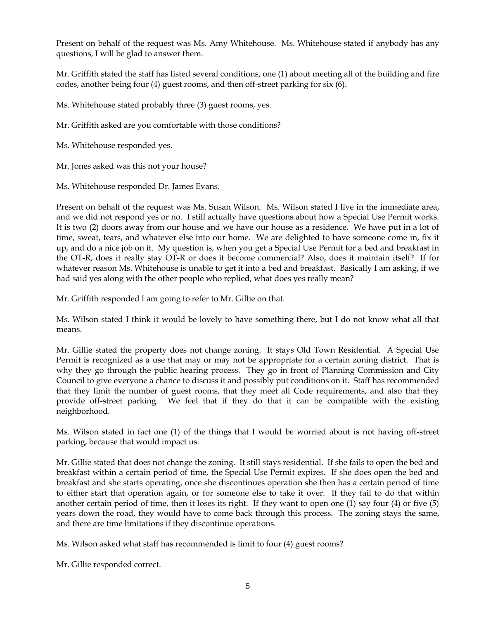Present on behalf of the request was Ms. Amy Whitehouse. Ms. Whitehouse stated if anybody has any questions, I will be glad to answer them.

Mr. Griffith stated the staff has listed several conditions, one (1) about meeting all of the building and fire codes, another being four (4) guest rooms, and then off-street parking for six (6).

Ms. Whitehouse stated probably three (3) guest rooms, yes.

Mr. Griffith asked are you comfortable with those conditions?

Ms. Whitehouse responded yes.

Mr. Jones asked was this not your house?

Ms. Whitehouse responded Dr. James Evans.

Present on behalf of the request was Ms. Susan Wilson. Ms. Wilson stated I live in the immediate area, and we did not respond yes or no. I still actually have questions about how a Special Use Permit works. It is two (2) doors away from our house and we have our house as a residence. We have put in a lot of time, sweat, tears, and whatever else into our home. We are delighted to have someone come in, fix it up, and do a nice job on it. My question is, when you get a Special Use Permit for a bed and breakfast in the OT-R, does it really stay OT-R or does it become commercial? Also, does it maintain itself? If for whatever reason Ms. Whitehouse is unable to get it into a bed and breakfast. Basically I am asking, if we had said yes along with the other people who replied, what does yes really mean?

Mr. Griffith responded I am going to refer to Mr. Gillie on that.

Ms. Wilson stated I think it would be lovely to have something there, but I do not know what all that means.

Mr. Gillie stated the property does not change zoning. It stays Old Town Residential. A Special Use Permit is recognized as a use that may or may not be appropriate for a certain zoning district. That is why they go through the public hearing process. They go in front of Planning Commission and City Council to give everyone a chance to discuss it and possibly put conditions on it. Staff has recommended that they limit the number of guest rooms, that they meet all Code requirements, and also that they provide off-street parking. We feel that if they do that it can be compatible with the existing neighborhood.

Ms. Wilson stated in fact one (1) of the things that I would be worried about is not having off-street parking, because that would impact us.

Mr. Gillie stated that does not change the zoning. It still stays residential. If she fails to open the bed and breakfast within a certain period of time, the Special Use Permit expires. If she does open the bed and breakfast and she starts operating, once she discontinues operation she then has a certain period of time to either start that operation again, or for someone else to take it over. If they fail to do that within another certain period of time, then it loses its right. If they want to open one (1) say four (4) or five (5) years down the road, they would have to come back through this process. The zoning stays the same, and there are time limitations if they discontinue operations.

Ms. Wilson asked what staff has recommended is limit to four (4) guest rooms?

Mr. Gillie responded correct.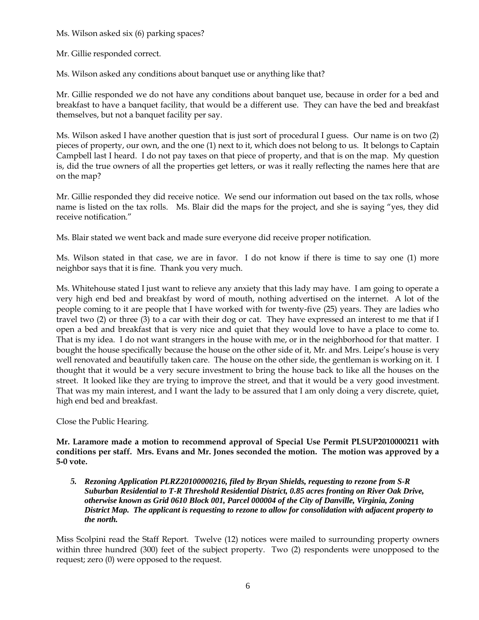Ms. Wilson asked six (6) parking spaces?

Mr. Gillie responded correct.

Ms. Wilson asked any conditions about banquet use or anything like that?

Mr. Gillie responded we do not have any conditions about banquet use, because in order for a bed and breakfast to have a banquet facility, that would be a different use. They can have the bed and breakfast themselves, but not a banquet facility per say.

Ms. Wilson asked I have another question that is just sort of procedural I guess. Our name is on two (2) pieces of property, our own, and the one (1) next to it, which does not belong to us. It belongs to Captain Campbell last I heard. I do not pay taxes on that piece of property, and that is on the map. My question is, did the true owners of all the properties get letters, or was it really reflecting the names here that are on the map?

Mr. Gillie responded they did receive notice. We send our information out based on the tax rolls, whose name is listed on the tax rolls. Ms. Blair did the maps for the project, and she is saying "yes, they did receive notification."

Ms. Blair stated we went back and made sure everyone did receive proper notification.

Ms. Wilson stated in that case, we are in favor. I do not know if there is time to say one (1) more neighbor says that it is fine. Thank you very much.

Ms. Whitehouse stated I just want to relieve any anxiety that this lady may have. I am going to operate a very high end bed and breakfast by word of mouth, nothing advertised on the internet. A lot of the people coming to it are people that I have worked with for twenty-five (25) years. They are ladies who travel two (2) or three (3) to a car with their dog or cat. They have expressed an interest to me that if I open a bed and breakfast that is very nice and quiet that they would love to have a place to come to. That is my idea. I do not want strangers in the house with me, or in the neighborhood for that matter. I bought the house specifically because the house on the other side of it, Mr. and Mrs. Leipe's house is very well renovated and beautifully taken care. The house on the other side, the gentleman is working on it. I thought that it would be a very secure investment to bring the house back to like all the houses on the street. It looked like they are trying to improve the street, and that it would be a very good investment. That was my main interest, and I want the lady to be assured that I am only doing a very discrete, quiet, high end bed and breakfast.

Close the Public Hearing.

**Mr. Laramore made a motion to recommend approval of Special Use Permit PLSUP2010000211 with conditions per staff. Mrs. Evans and Mr. Jones seconded the motion. The motion was approved by a 5-0 vote.** 

*5. Rezoning Application PLRZ20100000216, filed by Bryan Shields, requesting to rezone from S-R Suburban Residential to T-R Threshold Residential District, 0.85 acres fronting on River Oak Drive, otherwise known as Grid 0610 Block 001, Parcel 000004 of the City of Danville, Virginia, Zoning District Map. The applicant is requesting to rezone to allow for consolidation with adjacent property to the north.*

Miss Scolpini read the Staff Report. Twelve (12) notices were mailed to surrounding property owners within three hundred (300) feet of the subject property. Two (2) respondents were unopposed to the request; zero (0) were opposed to the request.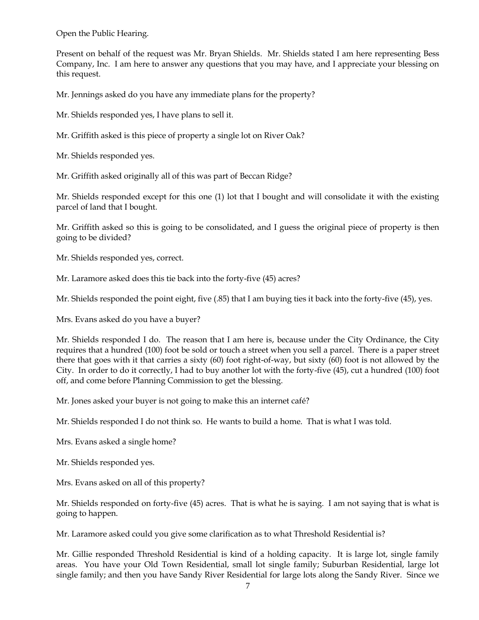Open the Public Hearing.

Present on behalf of the request was Mr. Bryan Shields. Mr. Shields stated I am here representing Bess Company, Inc. I am here to answer any questions that you may have, and I appreciate your blessing on this request.

Mr. Jennings asked do you have any immediate plans for the property?

Mr. Shields responded yes, I have plans to sell it.

Mr. Griffith asked is this piece of property a single lot on River Oak?

Mr. Shields responded yes.

Mr. Griffith asked originally all of this was part of Beccan Ridge?

Mr. Shields responded except for this one (1) lot that I bought and will consolidate it with the existing parcel of land that I bought.

Mr. Griffith asked so this is going to be consolidated, and I guess the original piece of property is then going to be divided?

Mr. Shields responded yes, correct.

Mr. Laramore asked does this tie back into the forty-five (45) acres?

Mr. Shields responded the point eight, five (.85) that I am buying ties it back into the forty-five (45), yes.

Mrs. Evans asked do you have a buyer?

Mr. Shields responded I do. The reason that I am here is, because under the City Ordinance, the City requires that a hundred (100) foot be sold or touch a street when you sell a parcel. There is a paper street there that goes with it that carries a sixty (60) foot right-of-way, but sixty (60) foot is not allowed by the City. In order to do it correctly, I had to buy another lot with the forty-five (45), cut a hundred (100) foot off, and come before Planning Commission to get the blessing.

Mr. Jones asked your buyer is not going to make this an internet café?

Mr. Shields responded I do not think so. He wants to build a home. That is what I was told.

Mrs. Evans asked a single home?

Mr. Shields responded yes.

Mrs. Evans asked on all of this property?

Mr. Shields responded on forty-five (45) acres. That is what he is saying. I am not saying that is what is going to happen.

Mr. Laramore asked could you give some clarification as to what Threshold Residential is?

Mr. Gillie responded Threshold Residential is kind of a holding capacity. It is large lot, single family areas. You have your Old Town Residential, small lot single family; Suburban Residential, large lot single family; and then you have Sandy River Residential for large lots along the Sandy River. Since we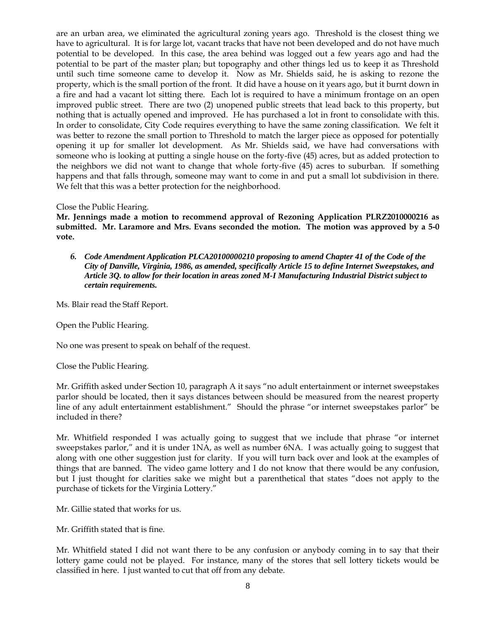are an urban area, we eliminated the agricultural zoning years ago. Threshold is the closest thing we have to agricultural. It is for large lot, vacant tracks that have not been developed and do not have much potential to be developed. In this case, the area behind was logged out a few years ago and had the potential to be part of the master plan; but topography and other things led us to keep it as Threshold until such time someone came to develop it. Now as Mr. Shields said, he is asking to rezone the property, which is the small portion of the front. It did have a house on it years ago, but it burnt down in a fire and had a vacant lot sitting there. Each lot is required to have a minimum frontage on an open improved public street. There are two (2) unopened public streets that lead back to this property, but nothing that is actually opened and improved. He has purchased a lot in front to consolidate with this. In order to consolidate, City Code requires everything to have the same zoning classification. We felt it was better to rezone the small portion to Threshold to match the larger piece as opposed for potentially opening it up for smaller lot development. As Mr. Shields said, we have had conversations with someone who is looking at putting a single house on the forty-five (45) acres, but as added protection to the neighbors we did not want to change that whole forty-five (45) acres to suburban. If something happens and that falls through, someone may want to come in and put a small lot subdivision in there. We felt that this was a better protection for the neighborhood.

#### Close the Public Hearing.

**Mr. Jennings made a motion to recommend approval of Rezoning Application PLRZ2010000216 as submitted. Mr. Laramore and Mrs. Evans seconded the motion. The motion was approved by a 5-0 vote.** 

*6. Code Amendment Application PLCA20100000210 proposing to amend Chapter 41 of the Code of the City of Danville, Virginia, 1986, as amended, specifically Article 15 to define Internet Sweepstakes, and Article 3Q. to allow for their location in areas zoned M-I Manufacturing Industrial District subject to certain requirements.*

Ms. Blair read the Staff Report.

Open the Public Hearing.

No one was present to speak on behalf of the request.

Close the Public Hearing.

Mr. Griffith asked under Section 10, paragraph A it says "no adult entertainment or internet sweepstakes parlor should be located, then it says distances between should be measured from the nearest property line of any adult entertainment establishment." Should the phrase "or internet sweepstakes parlor" be included in there?

Mr. Whitfield responded I was actually going to suggest that we include that phrase "or internet sweepstakes parlor," and it is under 1NA, as well as number 6NA. I was actually going to suggest that along with one other suggestion just for clarity. If you will turn back over and look at the examples of things that are banned. The video game lottery and I do not know that there would be any confusion, but I just thought for clarities sake we might but a parenthetical that states "does not apply to the purchase of tickets for the Virginia Lottery."

Mr. Gillie stated that works for us.

Mr. Griffith stated that is fine.

Mr. Whitfield stated I did not want there to be any confusion or anybody coming in to say that their lottery game could not be played. For instance, many of the stores that sell lottery tickets would be classified in here. I just wanted to cut that off from any debate.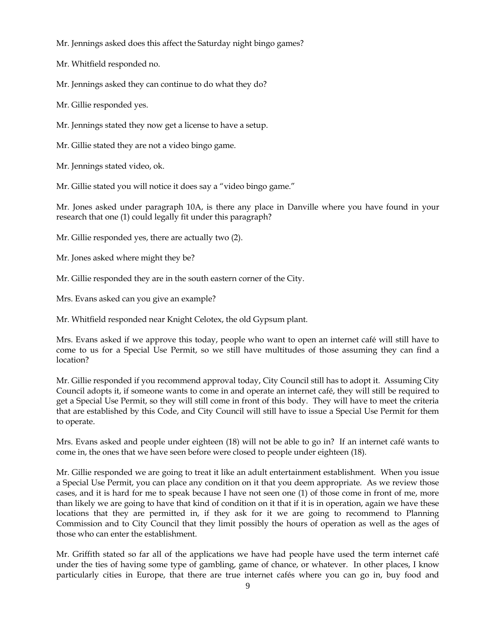Mr. Jennings asked does this affect the Saturday night bingo games?

Mr. Whitfield responded no.

Mr. Jennings asked they can continue to do what they do?

Mr. Gillie responded yes.

Mr. Jennings stated they now get a license to have a setup.

Mr. Gillie stated they are not a video bingo game.

Mr. Jennings stated video, ok.

Mr. Gillie stated you will notice it does say a "video bingo game."

Mr. Jones asked under paragraph 10A, is there any place in Danville where you have found in your research that one (1) could legally fit under this paragraph?

Mr. Gillie responded yes, there are actually two (2).

Mr. Jones asked where might they be?

Mr. Gillie responded they are in the south eastern corner of the City.

Mrs. Evans asked can you give an example?

Mr. Whitfield responded near Knight Celotex, the old Gypsum plant.

Mrs. Evans asked if we approve this today, people who want to open an internet café will still have to come to us for a Special Use Permit, so we still have multitudes of those assuming they can find a location?

Mr. Gillie responded if you recommend approval today, City Council still has to adopt it. Assuming City Council adopts it, if someone wants to come in and operate an internet café, they will still be required to get a Special Use Permit, so they will still come in front of this body. They will have to meet the criteria that are established by this Code, and City Council will still have to issue a Special Use Permit for them to operate.

Mrs. Evans asked and people under eighteen (18) will not be able to go in? If an internet café wants to come in, the ones that we have seen before were closed to people under eighteen (18).

Mr. Gillie responded we are going to treat it like an adult entertainment establishment. When you issue a Special Use Permit, you can place any condition on it that you deem appropriate. As we review those cases, and it is hard for me to speak because I have not seen one (1) of those come in front of me, more than likely we are going to have that kind of condition on it that if it is in operation, again we have these locations that they are permitted in, if they ask for it we are going to recommend to Planning Commission and to City Council that they limit possibly the hours of operation as well as the ages of those who can enter the establishment.

Mr. Griffith stated so far all of the applications we have had people have used the term internet café under the ties of having some type of gambling, game of chance, or whatever. In other places, I know particularly cities in Europe, that there are true internet cafés where you can go in, buy food and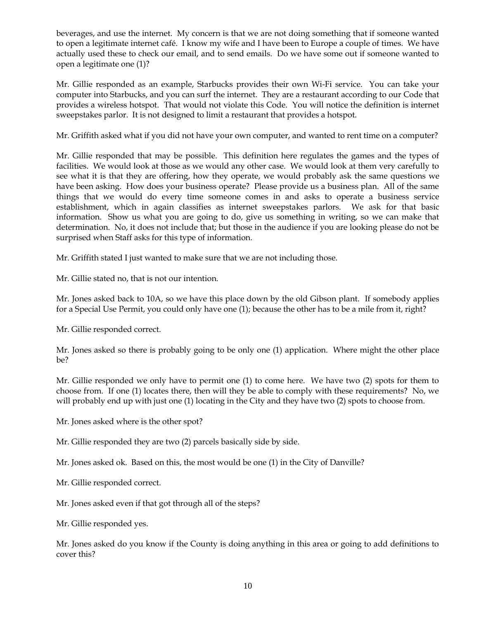beverages, and use the internet. My concern is that we are not doing something that if someone wanted to open a legitimate internet café. I know my wife and I have been to Europe a couple of times. We have actually used these to check our email, and to send emails. Do we have some out if someone wanted to open a legitimate one (1)?

Mr. Gillie responded as an example, Starbucks provides their own Wi-Fi service. You can take your computer into Starbucks, and you can surf the internet. They are a restaurant according to our Code that provides a wireless hotspot. That would not violate this Code. You will notice the definition is internet sweepstakes parlor. It is not designed to limit a restaurant that provides a hotspot.

Mr. Griffith asked what if you did not have your own computer, and wanted to rent time on a computer?

Mr. Gillie responded that may be possible. This definition here regulates the games and the types of facilities. We would look at those as we would any other case. We would look at them very carefully to see what it is that they are offering, how they operate, we would probably ask the same questions we have been asking. How does your business operate? Please provide us a business plan. All of the same things that we would do every time someone comes in and asks to operate a business service establishment, which in again classifies as internet sweepstakes parlors. We ask for that basic information. Show us what you are going to do, give us something in writing, so we can make that determination. No, it does not include that; but those in the audience if you are looking please do not be surprised when Staff asks for this type of information.

Mr. Griffith stated I just wanted to make sure that we are not including those.

Mr. Gillie stated no, that is not our intention.

Mr. Jones asked back to 10A, so we have this place down by the old Gibson plant. If somebody applies for a Special Use Permit, you could only have one (1); because the other has to be a mile from it, right?

Mr. Gillie responded correct.

Mr. Jones asked so there is probably going to be only one (1) application. Where might the other place be?

Mr. Gillie responded we only have to permit one (1) to come here. We have two (2) spots for them to choose from. If one (1) locates there, then will they be able to comply with these requirements? No, we will probably end up with just one (1) locating in the City and they have two (2) spots to choose from.

Mr. Jones asked where is the other spot?

Mr. Gillie responded they are two (2) parcels basically side by side.

Mr. Jones asked ok. Based on this, the most would be one (1) in the City of Danville?

Mr. Gillie responded correct.

Mr. Jones asked even if that got through all of the steps?

Mr. Gillie responded yes.

Mr. Jones asked do you know if the County is doing anything in this area or going to add definitions to cover this?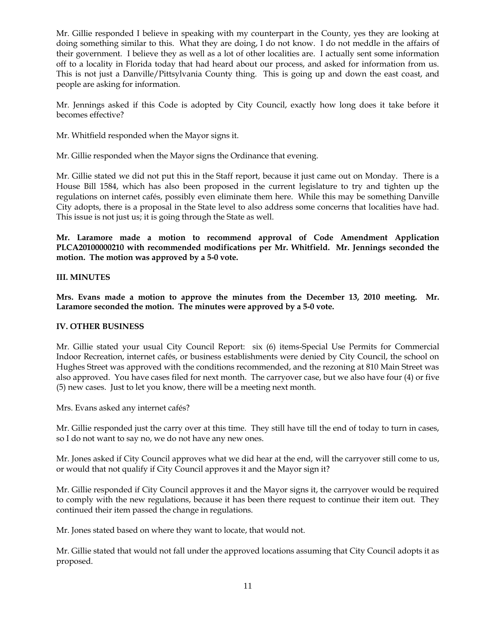Mr. Gillie responded I believe in speaking with my counterpart in the County, yes they are looking at doing something similar to this. What they are doing, I do not know. I do not meddle in the affairs of their government. I believe they as well as a lot of other localities are. I actually sent some information off to a locality in Florida today that had heard about our process, and asked for information from us. This is not just a Danville/Pittsylvania County thing. This is going up and down the east coast, and people are asking for information.

Mr. Jennings asked if this Code is adopted by City Council, exactly how long does it take before it becomes effective?

Mr. Whitfield responded when the Mayor signs it.

Mr. Gillie responded when the Mayor signs the Ordinance that evening.

Mr. Gillie stated we did not put this in the Staff report, because it just came out on Monday. There is a House Bill 1584, which has also been proposed in the current legislature to try and tighten up the regulations on internet cafés, possibly even eliminate them here. While this may be something Danville City adopts, there is a proposal in the State level to also address some concerns that localities have had. This issue is not just us; it is going through the State as well.

**Mr. Laramore made a motion to recommend approval of Code Amendment Application PLCA20100000210 with recommended modifications per Mr. Whitfield. Mr. Jennings seconded the motion. The motion was approved by a 5-0 vote.** 

# **III. MINUTES**

**Mrs. Evans made a motion to approve the minutes from the December 13, 2010 meeting. Mr. Laramore seconded the motion. The minutes were approved by a 5-0 vote.**

### **IV. OTHER BUSINESS**

Mr. Gillie stated your usual City Council Report: six (6) items-Special Use Permits for Commercial Indoor Recreation, internet cafés, or business establishments were denied by City Council, the school on Hughes Street was approved with the conditions recommended, and the rezoning at 810 Main Street was also approved. You have cases filed for next month. The carryover case, but we also have four (4) or five (5) new cases. Just to let you know, there will be a meeting next month.

Mrs. Evans asked any internet cafés?

Mr. Gillie responded just the carry over at this time. They still have till the end of today to turn in cases, so I do not want to say no, we do not have any new ones.

Mr. Jones asked if City Council approves what we did hear at the end, will the carryover still come to us, or would that not qualify if City Council approves it and the Mayor sign it?

Mr. Gillie responded if City Council approves it and the Mayor signs it, the carryover would be required to comply with the new regulations, because it has been there request to continue their item out. They continued their item passed the change in regulations.

Mr. Jones stated based on where they want to locate, that would not.

Mr. Gillie stated that would not fall under the approved locations assuming that City Council adopts it as proposed.